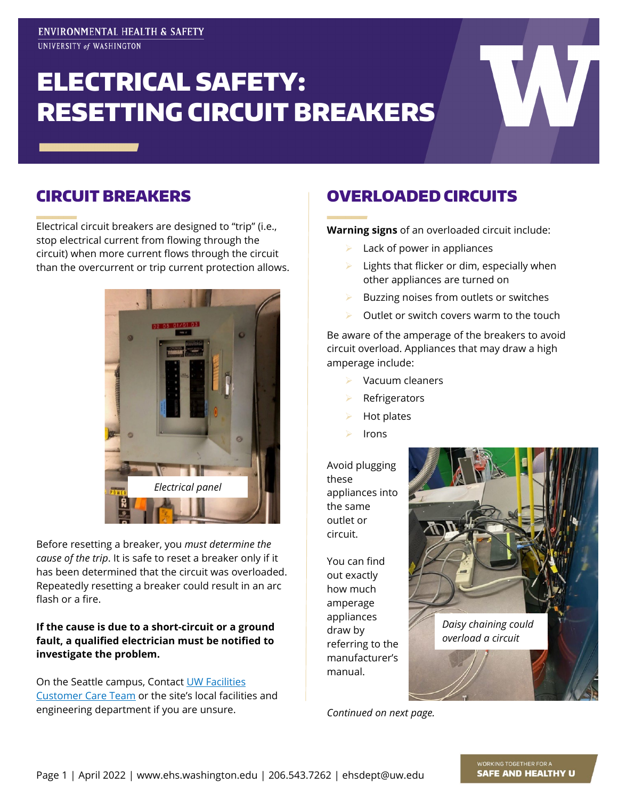# ELECTRICAL SAFETY: RESETTING CIRCUIT BREAKERS

### CIRCUIT BREAKERS

Electrical circuit breakers are designed to "trip" (i.e., stop electrical current from flowing through the circuit) when more current flows through the circuit than the overcurrent or trip current protection allows.



Before resetting a breaker, you *must determine the cause of the trip*. It is safe to reset a breaker only if it has been determined that the circuit was overloaded. Repeatedly resetting a breaker could result in an arc flash or a fire.

#### **If the cause is due to a short-circuit or a ground fault, a qualified electrician must be notified to investigate the problem.**

On the Seattle campus, Contact [UW Facilities](https://facilities.uw.edu/contact)  [Customer Care Team](https://facilities.uw.edu/contact) or the site's local facilities and engineering department if you are unsure.

## OVERLOADED CIRCUITS

**Warning signs** of an overloaded circuit include:

- Lack of power in appliances
- Lights that flicker or dim, especially when other appliances are turned on
- Buzzing noises from outlets or switches
- Outlet or switch covers warm to the touch

Be aware of the amperage of the breakers to avoid circuit overload. Appliances that may draw a high amperage include:

- Vacuum cleaners
- Refrigerators
- Hot plates
- Irons

Avoid plugging these appliances into the same outlet or circuit.

You can find out exactly how much amperage appliances draw by referring to the manufacturer's manual.



*Continued on next page.*